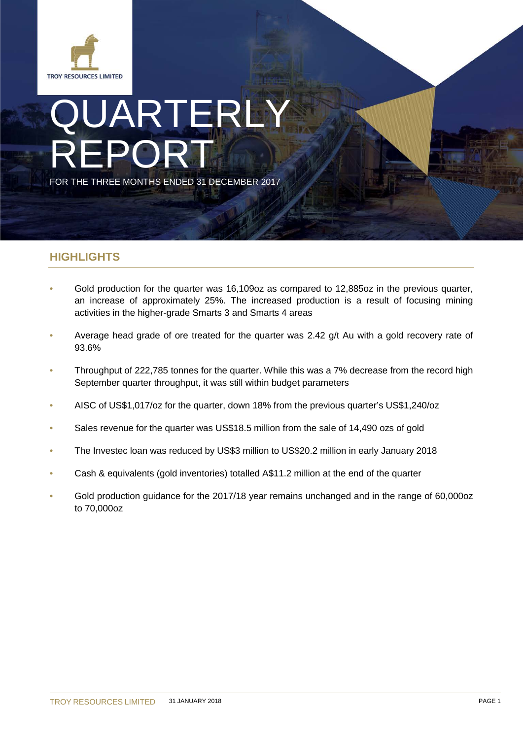

# JARTERLY REPORT FOR THE THREE MONTHS ENDED 31 DECEMBER 2017

# **HIGHLIGHTS**

- Gold production for the quarter was 16,109oz as compared to 12,885oz in the previous quarter, an increase of approximately 25%. The increased production is a result of focusing mining activities in the higher-grade Smarts 3 and Smarts 4 areas
- Average head grade of ore treated for the quarter was 2.42 g/t Au with a gold recovery rate of 93.6%
- Throughput of 222,785 tonnes for the quarter. While this was a 7% decrease from the record high September quarter throughput, it was still within budget parameters
- AISC of US\$1,017/oz for the quarter, down 18% from the previous quarter's US\$1,240/oz
- Sales revenue for the quarter was US\$18.5 million from the sale of 14,490 ozs of gold
- The Investec loan was reduced by US\$3 million to US\$20.2 million in early January 2018
- Cash & equivalents (gold inventories) totalled A\$11.2 million at the end of the quarter
- Gold production guidance for the 2017/18 year remains unchanged and in the range of 60,000oz to 70,000oz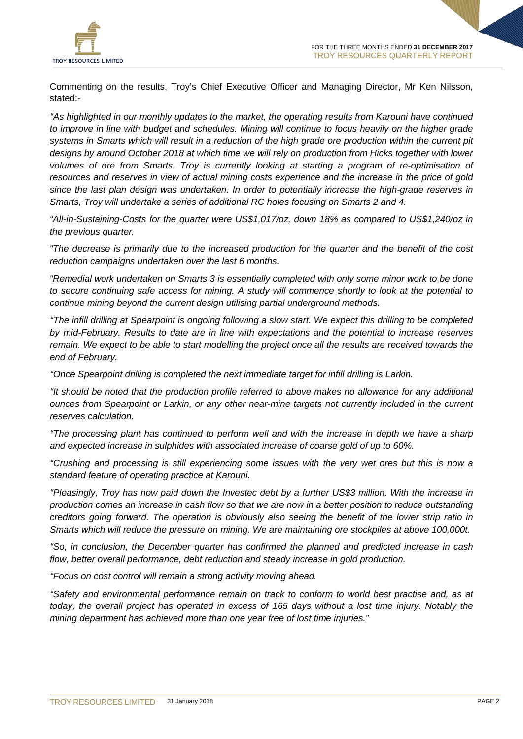

Commenting on the results, Troy's Chief Executive Officer and Managing Director, Mr Ken Nilsson, stated:-

*"As highlighted in our monthly updates to the market, the operating results from Karouni have continued to improve in line with budget and schedules. Mining will continue to focus heavily on the higher grade systems in Smarts which will result in a reduction of the high grade ore production within the current pit designs by around October 2018 at which time we will rely on production from Hicks together with lower volumes of ore from Smarts. Troy is currently looking at starting a program of re-optimisation of resources and reserves in view of actual mining costs experience and the increase in the price of gold since the last plan design was undertaken. In order to potentially increase the high-grade reserves in Smarts, Troy will undertake a series of additional RC holes focusing on Smarts 2 and 4.*

*"All-in-Sustaining-Costs for the quarter were US\$1,017/oz, down 18% as compared to US\$1,240/oz in the previous quarter.*

*"The decrease is primarily due to the increased production for the quarter and the benefit of the cost reduction campaigns undertaken over the last 6 months.*

*"Remedial work undertaken on Smarts 3 is essentially completed with only some minor work to be done to secure continuing safe access for mining. A study will commence shortly to look at the potential to continue mining beyond the current design utilising partial underground methods.*

*"The infill drilling at Spearpoint is ongoing following a slow start. We expect this drilling to be completed by mid-February. Results to date are in line with expectations and the potential to increase reserves remain. We expect to be able to start modelling the project once all the results are received towards the end of February.*

*"Once Spearpoint drilling is completed the next immediate target for infill drilling is Larkin.*

*"It should be noted that the production profile referred to above makes no allowance for any additional ounces from Spearpoint or Larkin, or any other near-mine targets not currently included in the current reserves calculation.*

*"The processing plant has continued to perform well and with the increase in depth we have a sharp and expected increase in sulphides with associated increase of coarse gold of up to 60%.*

*"Crushing and processing is still experiencing some issues with the very wet ores but this is now a standard feature of operating practice at Karouni.*

*"Pleasingly, Troy has now paid down the Investec debt by a further US\$3 million. With the increase in production comes an increase in cash flow so that we are now in a better position to reduce outstanding creditors going forward. The operation is obviously also seeing the benefit of the lower strip ratio in Smarts which will reduce the pressure on mining. We are maintaining ore stockpiles at above 100,000t.*

*"So, in conclusion, the December quarter has confirmed the planned and predicted increase in cash*  flow, better overall performance, debt reduction and steady increase in gold production.

*"Focus on cost control will remain a strong activity moving ahead.*

*"Safety and environmental performance remain on track to conform to world best practise and, as at today, the overall project has operated in excess of 165 days without a lost time injury. Notably the mining department has achieved more than one year free of lost time injuries."*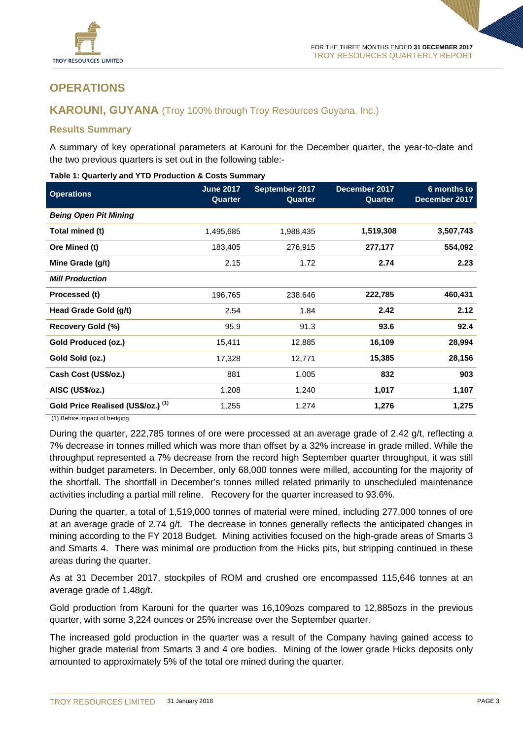

# **OPERATIONS**

## **KAROUNI, GUYANA** (Troy 100% through Troy Resources Guyana. Inc.)

## **Results Summary**

A summary of key operational parameters at Karouni for the December quarter, the year-to-date and the two previous quarters is set out in the following table:-

| <b>Operations</b>                  | <b>June 2017</b><br>Quarter | September 2017<br>Quarter | December 2017<br>Quarter | 6 months to<br>December 2017 |
|------------------------------------|-----------------------------|---------------------------|--------------------------|------------------------------|
| <b>Being Open Pit Mining</b>       |                             |                           |                          |                              |
| Total mined (t)                    | 1,495,685                   | 1,988,435                 | 1,519,308                | 3,507,743                    |
| Ore Mined (t)                      | 183,405                     | 276,915                   | 277,177                  | 554,092                      |
| Mine Grade (g/t)                   | 2.15                        | 1.72                      | 2.74                     | 2.23                         |
| <b>Mill Production</b>             |                             |                           |                          |                              |
| Processed (t)                      | 196,765                     | 238,646                   | 222,785                  | 460,431                      |
| Head Grade Gold (g/t)              | 2.54                        | 1.84                      | 2.42                     | 2.12                         |
| Recovery Gold (%)                  | 95.9                        | 91.3                      | 93.6                     | 92.4                         |
| Gold Produced (oz.)                | 15,411                      | 12,885                    | 16,109                   | 28,994                       |
| Gold Sold (oz.)                    | 17,328                      | 12,771                    | 15,385                   | 28,156                       |
| Cash Cost (US\$/oz.)               | 881                         | 1,005                     | 832                      | 903                          |
| AISC (US\$/oz.)                    | 1,208                       | 1,240                     | 1,017                    | 1,107                        |
| Gold Price Realised (US\$/oz.) (1) | 1,255                       | 1,274                     | 1,276                    | 1,275                        |

#### **Table 1: Quarterly and YTD Production & Costs Summary**

(1) Before impact of hedging.

During the quarter, 222,785 tonnes of ore were processed at an average grade of 2.42 g/t, reflecting a 7% decrease in tonnes milled which was more than offset by a 32% increase in grade milled. While the throughput represented a 7% decrease from the record high September quarter throughput, it was still within budget parameters. In December, only 68,000 tonnes were milled, accounting for the majority of the shortfall. The shortfall in December's tonnes milled related primarily to unscheduled maintenance activities including a partial mill reline. Recovery for the quarter increased to 93.6%.

During the quarter, a total of 1,519,000 tonnes of material were mined, including 277,000 tonnes of ore at an average grade of 2.74 g/t. The decrease in tonnes generally reflects the anticipated changes in mining according to the FY 2018 Budget. Mining activities focused on the high-grade areas of Smarts 3 and Smarts 4. There was minimal ore production from the Hicks pits, but stripping continued in these areas during the quarter.

As at 31 December 2017, stockpiles of ROM and crushed ore encompassed 115,646 tonnes at an average grade of 1.48g/t.

Gold production from Karouni for the quarter was 16,109ozs compared to 12,885ozs in the previous quarter, with some 3,224 ounces or 25% increase over the September quarter.

The increased gold production in the quarter was a result of the Company having gained access to higher grade material from Smarts 3 and 4 ore bodies. Mining of the lower grade Hicks deposits only amounted to approximately 5% of the total ore mined during the quarter.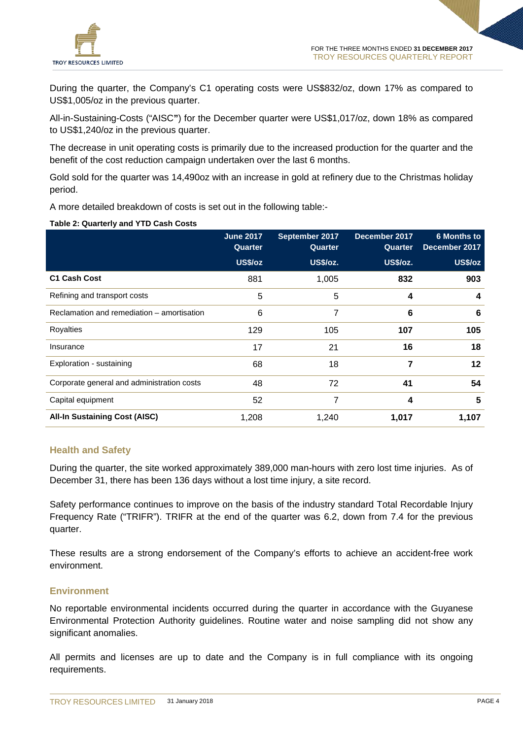

During the quarter, the Company's C1 operating costs were US\$832/oz, down 17% as compared to US\$1,005/oz in the previous quarter.

All-in-Sustaining-Costs ("AISC**"**) for the December quarter were US\$1,017/oz, down 18% as compared to US\$1,240/oz in the previous quarter.

The decrease in unit operating costs is primarily due to the increased production for the quarter and the benefit of the cost reduction campaign undertaken over the last 6 months.

Gold sold for the quarter was 14,490oz with an increase in gold at refinery due to the Christmas holiday period.

A more detailed breakdown of costs is set out in the following table:-

#### **Table 2: Quarterly and YTD Cash Costs**

|                                            | <b>June 2017</b><br>Quarter | September 2017<br>Quarter | December 2017<br>Quarter | <b>6 Months to</b><br>December 2017 |
|--------------------------------------------|-----------------------------|---------------------------|--------------------------|-------------------------------------|
|                                            | US\$/oz                     | US\$/oz.                  | <b>US\$/oz.</b>          | US\$/oz                             |
| <b>C1 Cash Cost</b>                        | 881                         | 1,005                     | 832                      | 903                                 |
| Refining and transport costs               | 5                           | 5                         | 4                        | 4                                   |
| Reclamation and remediation – amortisation | 6                           | 7                         | 6                        | 6                                   |
| Royalties                                  | 129                         | 105                       | 107                      | 105                                 |
| Insurance                                  | 17                          | 21                        | 16                       | 18                                  |
| Exploration - sustaining                   | 68                          | 18                        | 7                        | 12                                  |
| Corporate general and administration costs | 48                          | 72                        | 41                       | 54                                  |
| Capital equipment                          | 52                          | 7                         | 4                        | 5                                   |
| <b>All-In Sustaining Cost (AISC)</b>       | 1,208                       | 1,240                     | 1,017                    | 1,107                               |

## **Health and Safety**

During the quarter, the site worked approximately 389,000 man-hours with zero lost time injuries. As of December 31, there has been 136 days without a lost time injury, a site record.

Safety performance continues to improve on the basis of the industry standard Total Recordable Injury Frequency Rate ("TRIFR"). TRIFR at the end of the quarter was 6.2, down from 7.4 for the previous quarter.

These results are a strong endorsement of the Company's efforts to achieve an accident-free work environment.

## **Environment**

No reportable environmental incidents occurred during the quarter in accordance with the Guyanese Environmental Protection Authority guidelines. Routine water and noise sampling did not show any significant anomalies.

All permits and licenses are up to date and the Company is in full compliance with its ongoing requirements.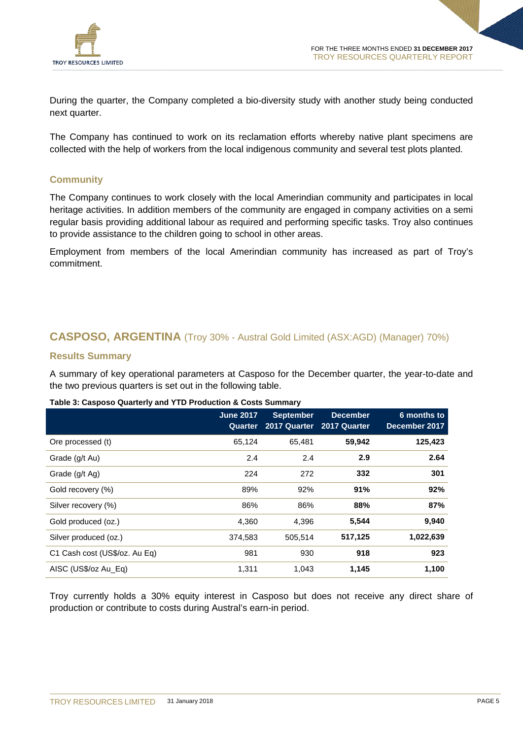

During the quarter, the Company completed a bio-diversity study with another study being conducted next quarter.

The Company has continued to work on its reclamation efforts whereby native plant specimens are collected with the help of workers from the local indigenous community and several test plots planted.

## **Community**

The Company continues to work closely with the local Amerindian community and participates in local heritage activities. In addition members of the community are engaged in company activities on a semi regular basis providing additional labour as required and performing specific tasks. Troy also continues to provide assistance to the children going to school in other areas.

Employment from members of the local Amerindian community has increased as part of Troy's commitment.

# **CASPOSO, ARGENTINA** (Troy 30% - Austral Gold Limited (ASX:AGD) (Manager) 70%)

## **Results Summary**

A summary of key operational parameters at Casposo for the December quarter, the year-to-date and the two previous quarters is set out in the following table.

## **Table 3: Casposo Quarterly and YTD Production & Costs Summary**

|                               | <b>June 2017</b><br>Quarter | <b>September</b><br>2017 Quarter | <b>December</b><br>2017 Quarter | 6 months to<br>December 2017 |
|-------------------------------|-----------------------------|----------------------------------|---------------------------------|------------------------------|
| Ore processed (t)             | 65,124                      | 65,481                           | 59,942                          | 125,423                      |
| Grade (g/t Au)                | 2.4                         | 2.4                              | 2.9                             | 2.64                         |
| Grade (g/t Ag)                | 224                         | 272                              | 332                             | 301                          |
| Gold recovery (%)             | 89%                         | 92%                              | 91%                             | 92%                          |
| Silver recovery (%)           | 86%                         | 86%                              | 88%                             | 87%                          |
| Gold produced (oz.)           | 4,360                       | 4,396                            | 5,544                           | 9,940                        |
| Silver produced (oz.)         | 374,583                     | 505,514                          | 517,125                         | 1,022,639                    |
| C1 Cash cost (US\$/oz. Au Eq) | 981                         | 930                              | 918                             | 923                          |
| AISC (US\$/oz Au_Eq)          | 1,311                       | 1,043                            | 1,145                           | 1,100                        |

Troy currently holds a 30% equity interest in Casposo but does not receive any direct share of production or contribute to costs during Austral's earn-in period.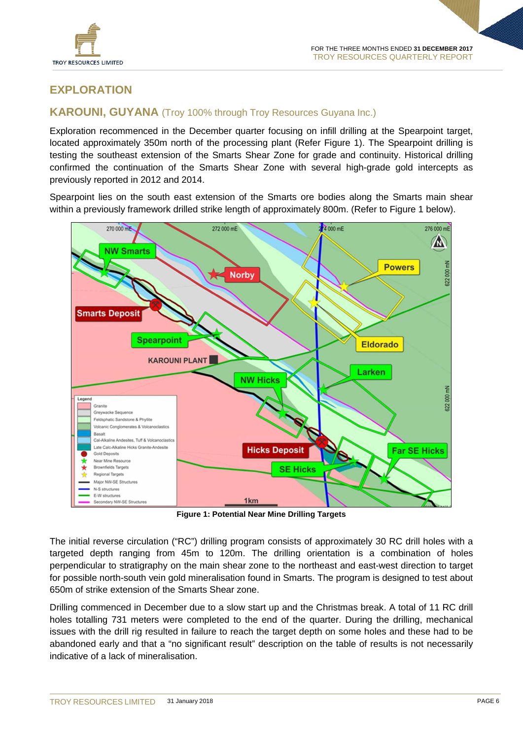

# **EXPLORATION**

# **KAROUNI, GUYANA** (Troy 100% through Troy Resources Guyana Inc.)

Exploration recommenced in the December quarter focusing on infill drilling at the Spearpoint target, located approximately 350m north of the processing plant (Refer Figure 1). The Spearpoint drilling is testing the southeast extension of the Smarts Shear Zone for grade and continuity. Historical drilling confirmed the continuation of the Smarts Shear Zone with several high-grade gold intercepts as previously reported in 2012 and 2014.

Spearpoint lies on the south east extension of the Smarts ore bodies along the Smarts main shear within a previously framework drilled strike length of approximately 800m. (Refer to Figure 1 below).



**Figure 1: Potential Near Mine Drilling Targets**

The initial reverse circulation ("RC") drilling program consists of approximately 30 RC drill holes with a targeted depth ranging from 45m to 120m. The drilling orientation is a combination of holes perpendicular to stratigraphy on the main shear zone to the northeast and east-west direction to target for possible north-south vein gold mineralisation found in Smarts. The program is designed to test about 650m of strike extension of the Smarts Shear zone.

Drilling commenced in December due to a slow start up and the Christmas break. A total of 11 RC drill holes totalling 731 meters were completed to the end of the quarter. During the drilling, mechanical issues with the drill rig resulted in failure to reach the target depth on some holes and these had to be abandoned early and that a "no significant result" description on the table of results is not necessarily indicative of a lack of mineralisation.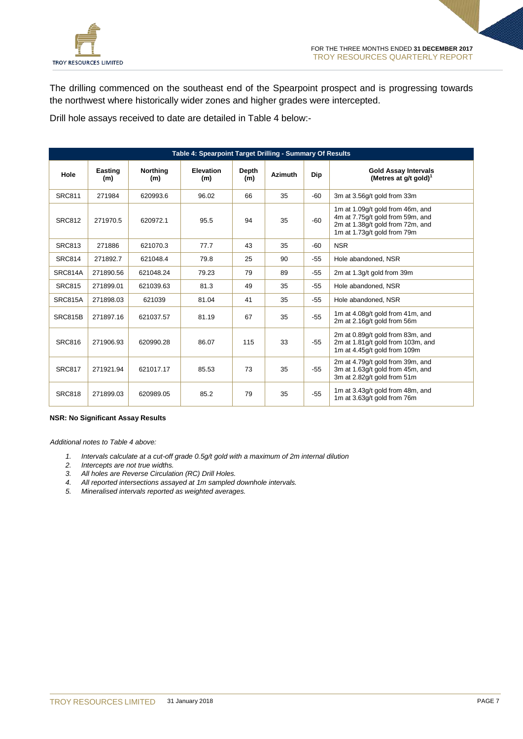

The drilling commenced on the southeast end of the Spearpoint prospect and is progressing towards the northwest where historically wider zones and higher grades were intercepted.

Drill hole assays received to date are detailed in Table 4 below:-

| Table 4: Spearpoint Target Drilling - Summary Of Results |                |                        |                         |              |                |            |                                                                                                                                         |
|----------------------------------------------------------|----------------|------------------------|-------------------------|--------------|----------------|------------|-----------------------------------------------------------------------------------------------------------------------------------------|
| Hole                                                     | Easting<br>(m) | <b>Northing</b><br>(m) | <b>Elevation</b><br>(m) | Depth<br>(m) | <b>Azimuth</b> | <b>Dip</b> | <b>Gold Assay Intervals</b><br>(Metres at $g/t$ gold) <sup>1</sup>                                                                      |
| <b>SRC811</b>                                            | 271984         | 620993.6               | 96.02                   | 66           | 35             | -60        | 3m at 3.56q/t gold from 33m                                                                                                             |
| <b>SRC812</b>                                            | 271970.5       | 620972.1               | 95.5                    | 94           | 35             | -60        | 1m at 1.09g/t gold from 46m, and<br>4m at 7.75g/t gold from 59m, and<br>2m at 1.38g/t gold from 72m, and<br>1m at 1.73q/t gold from 79m |
| <b>SRC813</b>                                            | 271886         | 621070.3               | 77.7                    | 43           | 35             | -60        | <b>NSR</b>                                                                                                                              |
| <b>SRC814</b>                                            | 271892.7       | 621048.4               | 79.8                    | 25           | 90             | $-55$      | Hole abandoned, NSR                                                                                                                     |
| SRC814A                                                  | 271890.56      | 621048.24              | 79.23                   | 79           | 89             | $-55$      | 2m at 1.3g/t gold from 39m                                                                                                              |
| <b>SRC815</b>                                            | 271899.01      | 621039.63              | 81.3                    | 49           | 35             | $-55$      | Hole abandoned. NSR                                                                                                                     |
| SRC815A                                                  | 271898.03      | 621039                 | 81.04                   | 41           | 35             | $-55$      | Hole abandoned, NSR                                                                                                                     |
| SRC815B                                                  | 271897.16      | 621037.57              | 81.19                   | 67           | 35             | $-55$      | 1m at 4.08g/t gold from 41m, and<br>2m at 2.16q/t gold from 56m                                                                         |
| <b>SRC816</b>                                            | 271906.93      | 620990.28              | 86.07                   | 115          | 33             | $-55$      | 2m at 0.89g/t gold from 83m, and<br>2m at 1.81g/t gold from 103m, and<br>1m at 4.45q/t gold from 109m                                   |
| <b>SRC817</b>                                            | 271921.94      | 621017.17              | 85.53                   | 73           | 35             | $-55$      | 2m at 4.79g/t gold from 39m, and<br>3m at 1.63g/t gold from 45m, and<br>3m at 2.82q/t gold from 51m                                     |
| <b>SRC818</b>                                            | 271899.03      | 620989.05              | 85.2                    | 79           | 35             | $-55$      | 1m at 3.43g/t gold from 48m, and<br>1m at 3.63q/t gold from 76m                                                                         |

#### **NSR: No Significant Assay Results**

*Additional notes to Table 4 above:*

- *1. Intervals calculate at a cut-off grade 0.5g/t gold with a maximum of 2m internal dilution*
- *2. Intercepts are not true widths.*
- *3. All holes are Reverse Circulation (RC) Drill Holes.*
- *4. All reported intersections assayed at 1m sampled downhole intervals.*
- *5. Mineralised intervals reported as weighted averages.*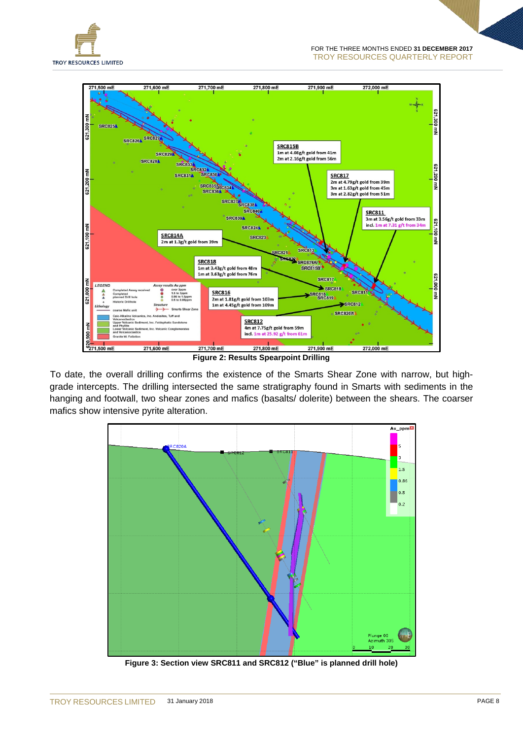



**Figure 2: Results Spearpoint Drilling**

To date, the overall drilling confirms the existence of the Smarts Shear Zone with narrow, but highgrade intercepts. The drilling intersected the same stratigraphy found in Smarts with sediments in the hanging and footwall, two shear zones and mafics (basalts/ dolerite) between the shears. The coarser mafics show intensive pyrite alteration.



**Figure 3: Section view SRC811 and SRC812 ("Blue" is planned drill hole)**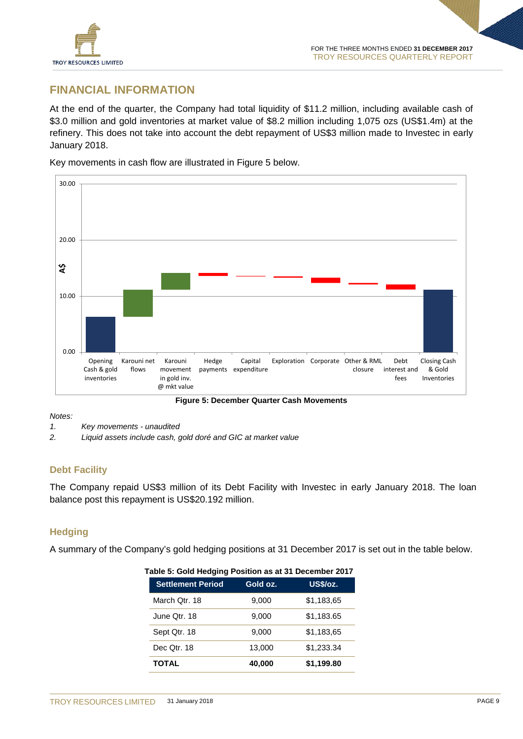

# **FINANCIAL INFORMATION**

At the end of the quarter, the Company had total liquidity of \$11.2 million, including available cash of \$3.0 million and gold inventories at market value of \$8.2 million including 1,075 ozs (US\$1.4m) at the refinery. This does not take into account the debt repayment of US\$3 million made to Investec in early January 2018.

Key movements in cash flow are illustrated in Figure 5 below.



*Notes:*

- *1. Key movements - unaudited*
- *2. Liquid assets include cash, gold doré and GIC at market value*

# **Debt Facility**

The Company repaid US\$3 million of its Debt Facility with Investec in early January 2018. The loan balance post this repayment is US\$20.192 million.

# **Hedging**

A summary of the Company's gold hedging positions at 31 December 2017 is set out in the table below.

| Table 5: Gold Hedging Position as at 31 December 2017 |          |            |
|-------------------------------------------------------|----------|------------|
| <b>Settlement Period</b>                              | Gold oz. | US\$/oz.   |
| March Qtr. 18                                         | 9,000    | \$1,183,65 |
| June Otr. 18                                          | 9.000    | \$1,183.65 |
| Sept Qtr. 18                                          | 9,000    | \$1,183,65 |
| Dec Qtr. 18                                           | 13,000   | \$1,233.34 |
| <b>TOTAL</b>                                          | 40,000   | \$1,199.80 |

**Table 5: Gold Hedging Position as at 31 December 2017**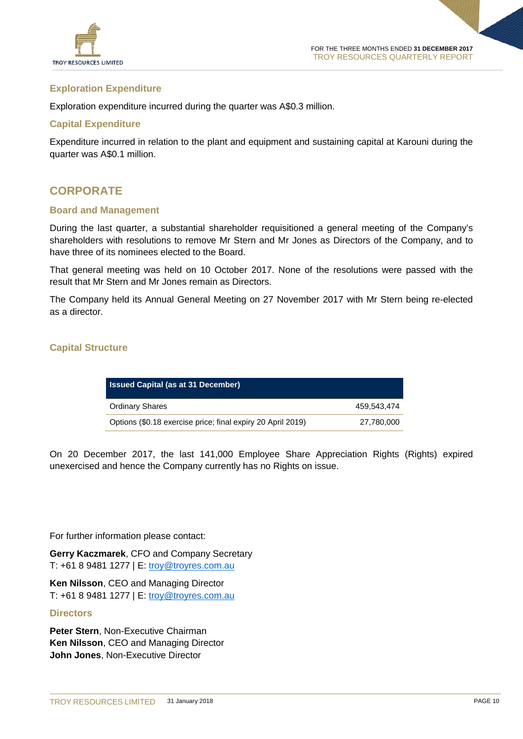

## **Exploration Expenditure**

Exploration expenditure incurred during the quarter was A\$0.3 million.

## **Capital Expenditure**

Expenditure incurred in relation to the plant and equipment and sustaining capital at Karouni during the quarter was A\$0.1 million.

# **CORPORATE**

### **Board and Management**

During the last quarter, a substantial shareholder requisitioned a general meeting of the Company's shareholders with resolutions to remove Mr Stern and Mr Jones as Directors of the Company, and to have three of its nominees elected to the Board.

That general meeting was held on 10 October 2017. None of the resolutions were passed with the result that Mr Stern and Mr Jones remain as Directors.

The Company held its Annual General Meeting on 27 November 2017 with Mr Stern being re-elected as a director.

## **Capital Structure**

| <b>Issued Capital (as at 31 December)</b>                   |             |
|-------------------------------------------------------------|-------------|
| <b>Ordinary Shares</b>                                      | 459.543.474 |
| Options (\$0.18 exercise price; final expiry 20 April 2019) | 27,780,000  |

On 20 December 2017, the last 141,000 Employee Share Appreciation Rights (Rights) expired unexercised and hence the Company currently has no Rights on issue.

For further information please contact:

**Gerry Kaczmarek**, CFO and Company Secretary T: +61 8 9481 1277 | E: [troy@troyres.com.au](mailto:troy@troyres.com.au)

**Ken Nilsson**, CEO and Managing Director T: +61 8 9481 1277 | E: [troy@troyres.com.au](mailto:troy@troyres.com.au)

## **Directors**

**Peter Stern**, Non-Executive Chairman **Ken Nilsson**, CEO and Managing Director **John Jones**, Non-Executive Director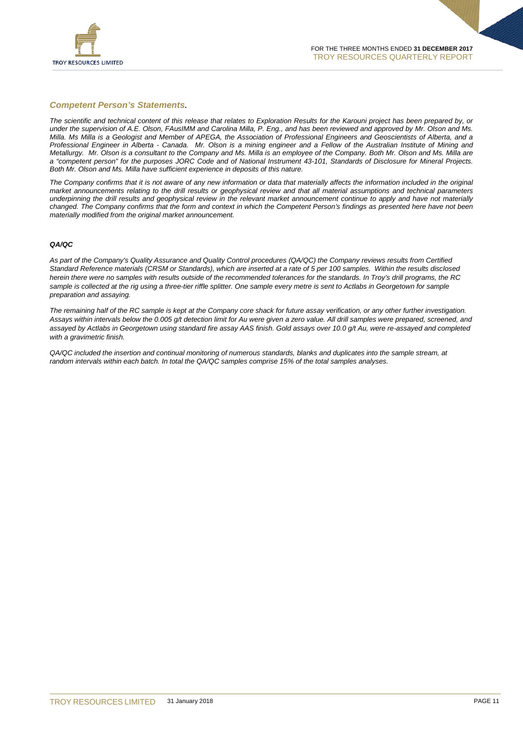

#### *Competent Person's Statements***.**

*The scientific and technical content of this release that relates to Exploration Results for the Karouni project has been prepared by, or under the supervision of A.E. Olson, FAusIMM and Carolina Milla, P. Eng., and has been reviewed and approved by Mr. Olson and Ms. Milla. Ms Milla is a Geologist and Member of APEGA, the Association of Professional Engineers and Geoscientists of Alberta, and a Professional Engineer in Alberta - Canada. Mr. Olson is a mining engineer and a Fellow of the Australian Institute of Mining and Metallurgy. Mr. Olson is a consultant to the Company and Ms. Milla is an employee of the Company. Both Mr. Olson and Ms. Milla are a "competent person" for the purposes JORC Code and of National Instrument 43-101, Standards of Disclosure for Mineral Projects. Both Mr. Olson and Ms. Milla have sufficient experience in deposits of this nature.* 

*The Company confirms that it is not aware of any new information or data that materially affects the information included in the original market announcements relating to the drill results or geophysical review and that all material assumptions and technical parameters underpinning the drill results and geophysical review in the relevant market announcement continue to apply and have not materially changed. The Company confirms that the form and context in which the Competent Person's findings as presented here have not been materially modified from the original market announcement.*

#### *QA/QC*

*As part of the Company's Quality Assurance and Quality Control procedures (QA/QC) the Company reviews results from Certified Standard Reference materials (CRSM or Standards), which are inserted at a rate of 5 per 100 samples. Within the results disclosed herein there were no samples with results outside of the recommended tolerances for the standards. In Troy's drill programs, the RC*  sample is collected at the rig using a three-tier riffle splitter. One sample every metre is sent to Actlabs in Georgetown for sample *preparation and assaying.* 

*The remaining half of the RC sample is kept at the Company core shack for future assay verification, or any other further investigation. Assays within intervals below the 0.005 g/t detection limit for Au were given a zero value. All drill samples were prepared, screened, and assayed by Actlabs in Georgetown using standard fire assay AAS finish. Gold assays over 10.0 g/t Au, were re*‐*assayed and completed with a gravimetric finish.* 

*QA/QC included the insertion and continual monitoring of numerous standards, blanks and duplicates into the sample stream, at random intervals within each batch. In total the QA/QC samples comprise 15% of the total samples analyses.*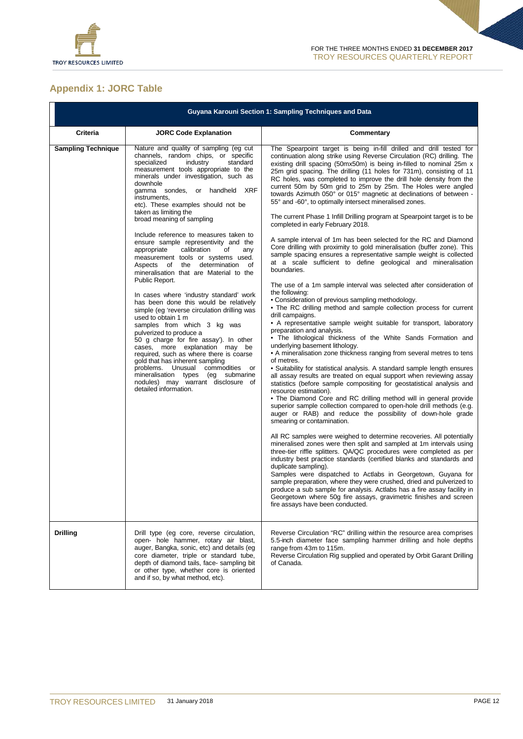

# **Appendix 1: JORC Table**

|                           | <b>Guyana Karouni Section 1: Sampling Techniques and Data</b>                                                                                                                                                                                                                                                                                                                                                                                                                                                                                                                                                                                                                                                                                                                                                                                                                                                                                                                                                                                                                                                                                                       |                                                                                                                                                                                                                                                                                                                                                                                                                                                                                                                                                                                                                                                                                                                                                                                                                                                                                                                                                                                                                                                                                                                                                                                                                                                                                                                                                                                                                                                                                                                                                                                                                                                                                                                                                                                                                                                                                                                                                                                                                                                                                                                                                                                                                                                                                                                                                                                                                                                                                                                                                                                                                                                |  |
|---------------------------|---------------------------------------------------------------------------------------------------------------------------------------------------------------------------------------------------------------------------------------------------------------------------------------------------------------------------------------------------------------------------------------------------------------------------------------------------------------------------------------------------------------------------------------------------------------------------------------------------------------------------------------------------------------------------------------------------------------------------------------------------------------------------------------------------------------------------------------------------------------------------------------------------------------------------------------------------------------------------------------------------------------------------------------------------------------------------------------------------------------------------------------------------------------------|------------------------------------------------------------------------------------------------------------------------------------------------------------------------------------------------------------------------------------------------------------------------------------------------------------------------------------------------------------------------------------------------------------------------------------------------------------------------------------------------------------------------------------------------------------------------------------------------------------------------------------------------------------------------------------------------------------------------------------------------------------------------------------------------------------------------------------------------------------------------------------------------------------------------------------------------------------------------------------------------------------------------------------------------------------------------------------------------------------------------------------------------------------------------------------------------------------------------------------------------------------------------------------------------------------------------------------------------------------------------------------------------------------------------------------------------------------------------------------------------------------------------------------------------------------------------------------------------------------------------------------------------------------------------------------------------------------------------------------------------------------------------------------------------------------------------------------------------------------------------------------------------------------------------------------------------------------------------------------------------------------------------------------------------------------------------------------------------------------------------------------------------------------------------------------------------------------------------------------------------------------------------------------------------------------------------------------------------------------------------------------------------------------------------------------------------------------------------------------------------------------------------------------------------------------------------------------------------------------------------------------------------|--|
| <b>Criteria</b>           | <b>JORC Code Explanation</b>                                                                                                                                                                                                                                                                                                                                                                                                                                                                                                                                                                                                                                                                                                                                                                                                                                                                                                                                                                                                                                                                                                                                        | Commentary                                                                                                                                                                                                                                                                                                                                                                                                                                                                                                                                                                                                                                                                                                                                                                                                                                                                                                                                                                                                                                                                                                                                                                                                                                                                                                                                                                                                                                                                                                                                                                                                                                                                                                                                                                                                                                                                                                                                                                                                                                                                                                                                                                                                                                                                                                                                                                                                                                                                                                                                                                                                                                     |  |
| <b>Sampling Technique</b> | Nature and quality of sampling (eg cut)<br>channels, random chips, or specific<br>specialized<br>industry<br>standard<br>measurement tools appropriate to the<br>minerals under investigation, such as<br>downhole<br>gamma sondes, or handheld XRF<br>instruments,<br>etc). These examples should not be<br>taken as limiting the<br>broad meaning of sampling<br>Include reference to measures taken to<br>ensure sample representivity and the<br>appropriate<br>calibration<br>of<br>any<br>measurement tools or systems used.<br>determination<br>Aspects of the<br>οf<br>mineralisation that are Material to the<br>Public Report.<br>In cases where 'industry standard' work<br>has been done this would be relatively<br>simple (eg 'reverse circulation drilling was<br>used to obtain 1 m<br>samples from which 3 kg was<br>pulverized to produce a<br>50 g charge for fire assay'). In other<br>cases, more explanation may be<br>required, such as where there is coarse<br>gold that has inherent sampling<br>problems. Unusual commodities<br>or<br>mineralisation types (eg submarine<br>nodules) may warrant disclosure of<br>detailed information. | The Spearpoint target is being in-fill drilled and drill tested for<br>continuation along strike using Reverse Circulation (RC) drilling. The<br>existing drill spacing (50mx50m) is being in-filled to nominal 25m x<br>25m grid spacing. The drilling (11 holes for 731m), consisting of 11<br>RC holes, was completed to improve the drill hole density from the<br>current 50m by 50m grid to 25m by 25m. The Holes were angled<br>towards Azimuth 050° or 015° magnetic at declinations of between -<br>55° and -60°, to optimally intersect mineralised zones.<br>The current Phase 1 Infill Drilling program at Spearpoint target is to be<br>completed in early February 2018.<br>A sample interval of 1m has been selected for the RC and Diamond<br>Core drilling with proximity to gold mineralisation (buffer zone). This<br>sample spacing ensures a representative sample weight is collected<br>at a scale sufficient to define geological and mineralisation<br>boundaries.<br>The use of a 1m sample interval was selected after consideration of<br>the following:<br>• Consideration of previous sampling methodology.<br>• The RC drilling method and sample collection process for current<br>drill campaigns.<br>• A representative sample weight suitable for transport, laboratory<br>preparation and analysis.<br>• The lithological thickness of the White Sands Formation and<br>underlying basement lithology.<br>• A mineralisation zone thickness ranging from several metres to tens<br>of metres.<br>• Suitability for statistical analysis. A standard sample length ensures<br>all assay results are treated on equal support when reviewing assay<br>statistics (before sample compositing for geostatistical analysis and<br>resource estimation).<br>• The Diamond Core and RC drilling method will in general provide<br>superior sample collection compared to open-hole drill methods (e.g.<br>auger or RAB) and reduce the possibility of down-hole grade<br>smearing or contamination.<br>All RC samples were weighed to determine recoveries. All potentially<br>mineralised zones were then split and sampled at 1m intervals using<br>three-tier riffle splitters. QA/QC procedures were completed as per<br>industry best practice standards (certified blanks and standards and<br>duplicate sampling).<br>Samples were dispatched to Actlabs in Georgetown, Guyana for<br>sample preparation, where they were crushed, dried and pulverized to<br>produce a sub sample for analysis. Actlabs has a fire assay facility in<br>Georgetown where 50g fire assays, gravimetric finishes and screen |  |
|                           |                                                                                                                                                                                                                                                                                                                                                                                                                                                                                                                                                                                                                                                                                                                                                                                                                                                                                                                                                                                                                                                                                                                                                                     | fire assays have been conducted.                                                                                                                                                                                                                                                                                                                                                                                                                                                                                                                                                                                                                                                                                                                                                                                                                                                                                                                                                                                                                                                                                                                                                                                                                                                                                                                                                                                                                                                                                                                                                                                                                                                                                                                                                                                                                                                                                                                                                                                                                                                                                                                                                                                                                                                                                                                                                                                                                                                                                                                                                                                                               |  |
| <b>Drilling</b>           | Drill type (eg core, reverse circulation,<br>open- hole hammer, rotary air blast,<br>auger, Bangka, sonic, etc) and details (eg<br>core diameter, triple or standard tube,<br>depth of diamond tails, face-sampling bit<br>or other type, whether core is oriented<br>and if so, by what method, etc).                                                                                                                                                                                                                                                                                                                                                                                                                                                                                                                                                                                                                                                                                                                                                                                                                                                              | Reverse Circulation "RC" drilling within the resource area comprises<br>5.5-inch diameter face sampling hammer drilling and hole depths<br>range from 43m to 115m.<br>Reverse Circulation Rig supplied and operated by Orbit Garant Drilling<br>of Canada.                                                                                                                                                                                                                                                                                                                                                                                                                                                                                                                                                                                                                                                                                                                                                                                                                                                                                                                                                                                                                                                                                                                                                                                                                                                                                                                                                                                                                                                                                                                                                                                                                                                                                                                                                                                                                                                                                                                                                                                                                                                                                                                                                                                                                                                                                                                                                                                     |  |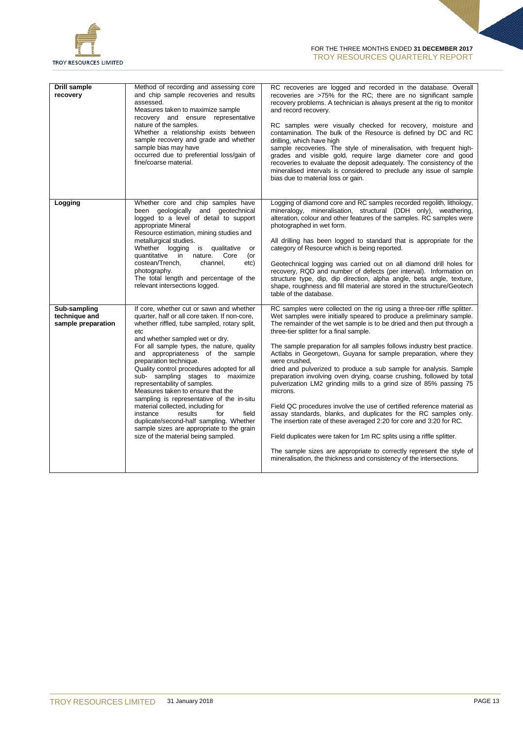

| <b>Drill sample</b><br>recovery                     | Method of recording and assessing core<br>and chip sample recoveries and results<br>assessed.<br>Measures taken to maximize sample<br>recovery and ensure representative<br>nature of the samples.<br>Whether a relationship exists between<br>sample recovery and grade and whether<br>sample bias may have<br>occurred due to preferential loss/gain of<br>fine/coarse material.                                                                                                                                                                                                                                                                                                                             | RC recoveries are logged and recorded in the database. Overall<br>recoveries are >75% for the RC; there are no significant sample<br>recovery problems. A technician is always present at the rig to monitor<br>and record recovery.<br>RC samples were visually checked for recovery, moisture and<br>contamination. The bulk of the Resource is defined by DC and RC<br>drilling, which have high<br>sample recoveries. The style of mineralisation, with frequent high-<br>grades and visible gold, require large diameter core and good<br>recoveries to evaluate the deposit adequately. The consistency of the<br>mineralised intervals is considered to preclude any issue of sample<br>bias due to material loss or gain.                                                                                                                                                                                                                                                                                                                                                                               |
|-----------------------------------------------------|----------------------------------------------------------------------------------------------------------------------------------------------------------------------------------------------------------------------------------------------------------------------------------------------------------------------------------------------------------------------------------------------------------------------------------------------------------------------------------------------------------------------------------------------------------------------------------------------------------------------------------------------------------------------------------------------------------------|-----------------------------------------------------------------------------------------------------------------------------------------------------------------------------------------------------------------------------------------------------------------------------------------------------------------------------------------------------------------------------------------------------------------------------------------------------------------------------------------------------------------------------------------------------------------------------------------------------------------------------------------------------------------------------------------------------------------------------------------------------------------------------------------------------------------------------------------------------------------------------------------------------------------------------------------------------------------------------------------------------------------------------------------------------------------------------------------------------------------|
| Logging                                             | Whether core and chip samples have<br>geologically<br>and geotechnical<br>been<br>logged to a level of detail to support<br>appropriate Mineral<br>Resource estimation, mining studies and<br>metallurgical studies.<br>Whether logging<br>qualitative<br>is<br>or<br>quantitative in nature.<br>Core<br>(or<br>costean/Trench,<br>channel,<br>etc)<br>photography.<br>The total length and percentage of the<br>relevant intersections logged.                                                                                                                                                                                                                                                                | Logging of diamond core and RC samples recorded regolith, lithology,<br>mineralogy, mineralisation, structural (DDH only), weathering,<br>alteration, colour and other features of the samples. RC samples were<br>photographed in wet form.<br>All drilling has been logged to standard that is appropriate for the<br>category of Resource which is being reported.<br>Geotechnical logging was carried out on all diamond drill holes for<br>recovery, RQD and number of defects (per interval). Information on<br>structure type, dip, dip direction, alpha angle, beta angle, texture,<br>shape, roughness and fill material are stored in the structure/Geotech<br>table of the database.                                                                                                                                                                                                                                                                                                                                                                                                                 |
| Sub-sampling<br>technique and<br>sample preparation | If core, whether cut or sawn and whether<br>quarter, half or all core taken. If non-core,<br>whether riffled, tube sampled, rotary split,<br>etc<br>and whether sampled wet or dry.<br>For all sample types, the nature, quality<br>and appropriateness of the sample<br>preparation technique.<br>Quality control procedures adopted for all<br>sub- sampling stages to maximize<br>representability of samples.<br>Measures taken to ensure that the<br>sampling is representative of the in-situ<br>material collected, including for<br>instance<br>results<br>field<br>for<br>duplicate/second-half sampling. Whether<br>sample sizes are appropriate to the grain<br>size of the material being sampled. | RC samples were collected on the rig using a three-tier riffle splitter.<br>Wet samples were initially speared to produce a preliminary sample.<br>The remainder of the wet sample is to be dried and then put through a<br>three-tier splitter for a final sample.<br>The sample preparation for all samples follows industry best practice.<br>Actlabs in Georgetown, Guyana for sample preparation, where they<br>were crushed,<br>dried and pulverized to produce a sub sample for analysis. Sample<br>preparation involving oven drying, coarse crushing, followed by total<br>pulverization LM2 grinding mills to a grind size of 85% passing 75<br>microns.<br>Field QC procedures involve the use of certified reference material as<br>assay standards, blanks, and duplicates for the RC samples only.<br>The insertion rate of these averaged 2:20 for core and 3:20 for RC.<br>Field duplicates were taken for 1m RC splits using a riffle splitter.<br>The sample sizes are appropriate to correctly represent the style of<br>mineralisation, the thickness and consistency of the intersections. |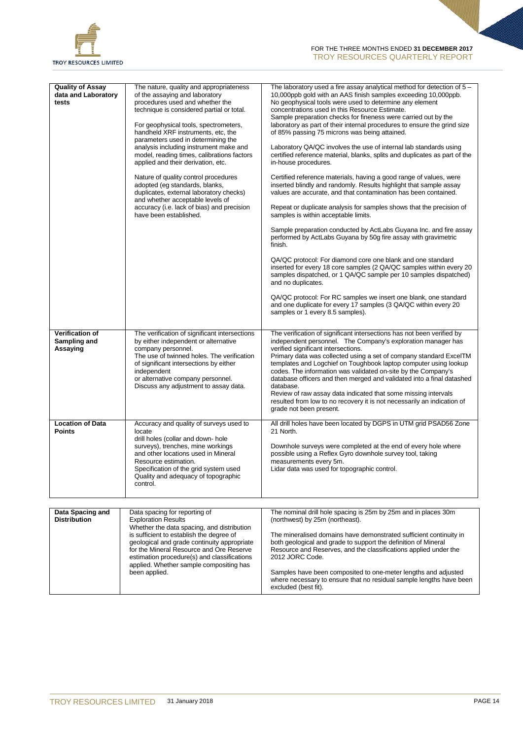

| <b>Quality of Assay</b><br>data and Laboratory<br>tests | The nature, quality and appropriateness<br>of the assaying and laboratory<br>procedures used and whether the<br>technique is considered partial or total.<br>For geophysical tools, spectrometers,<br>handheld XRF instruments, etc, the<br>parameters used in determining the<br>analysis including instrument make and<br>model, reading times, calibrations factors<br>applied and their derivation, etc.<br>Nature of quality control procedures<br>adopted (eg standards, blanks,<br>duplicates, external laboratory checks)<br>and whether acceptable levels of<br>accuracy (i.e. lack of bias) and precision<br>have been established. | The laboratory used a fire assay analytical method for detection of $5-$<br>10,000ppb gold with an AAS finish samples exceeding 10,000ppb.<br>No geophysical tools were used to determine any element<br>concentrations used in this Resource Estimate.<br>Sample preparation checks for fineness were carried out by the<br>laboratory as part of their internal procedures to ensure the grind size<br>of 85% passing 75 microns was being attained.<br>Laboratory QA/QC involves the use of internal lab standards using<br>certified reference material, blanks, splits and duplicates as part of the<br>in-house procedures.<br>Certified reference materials, having a good range of values, were<br>inserted blindly and randomly. Results highlight that sample assay<br>values are accurate, and that contamination has been contained.<br>Repeat or duplicate analysis for samples shows that the precision of<br>samples is within acceptable limits.<br>Sample preparation conducted by ActLabs Guyana Inc. and fire assay<br>performed by ActLabs Guyana by 50g fire assay with gravimetric<br>finish.<br>QA/QC protocol: For diamond core one blank and one standard<br>inserted for every 18 core samples (2 QA/QC samples within every 20<br>samples dispatched, or 1 QA/QC sample per 10 samples dispatched)<br>and no duplicates.<br>QA/QC protocol: For RC samples we insert one blank, one standard<br>and one duplicate for every 17 samples (3 QA/QC within every 20<br>samples or 1 every 8.5 samples). |
|---------------------------------------------------------|-----------------------------------------------------------------------------------------------------------------------------------------------------------------------------------------------------------------------------------------------------------------------------------------------------------------------------------------------------------------------------------------------------------------------------------------------------------------------------------------------------------------------------------------------------------------------------------------------------------------------------------------------|--------------------------------------------------------------------------------------------------------------------------------------------------------------------------------------------------------------------------------------------------------------------------------------------------------------------------------------------------------------------------------------------------------------------------------------------------------------------------------------------------------------------------------------------------------------------------------------------------------------------------------------------------------------------------------------------------------------------------------------------------------------------------------------------------------------------------------------------------------------------------------------------------------------------------------------------------------------------------------------------------------------------------------------------------------------------------------------------------------------------------------------------------------------------------------------------------------------------------------------------------------------------------------------------------------------------------------------------------------------------------------------------------------------------------------------------------------------------------------------------------------------------------------|
| Verification of<br>Sampling and<br>Assaying             | The verification of significant intersections<br>by either independent or alternative<br>company personnel.<br>The use of twinned holes. The verification<br>of significant intersections by either<br>independent<br>or alternative company personnel.<br>Discuss any adjustment to assay data.                                                                                                                                                                                                                                                                                                                                              | The verification of significant intersections has not been verified by<br>independent personnel. The Company's exploration manager has<br>verified significant intersections.<br>Primary data was collected using a set of company standard ExcelTM<br>templates and Logchief on Toughbook laptop computer using lookup<br>codes. The information was validated on-site by the Company's<br>database officers and then merged and validated into a final datashed<br>database.<br>Review of raw assay data indicated that some missing intervals<br>resulted from low to no recovery it is not necessarily an indication of<br>grade not been present.                                                                                                                                                                                                                                                                                                                                                                                                                                                                                                                                                                                                                                                                                                                                                                                                                                                                         |
| <b>Location of Data</b><br><b>Points</b>                | Accuracy and quality of surveys used to<br>locate<br>drill holes (collar and down-hole<br>surveys), trenches, mine workings<br>and other locations used in Mineral<br>Resource estimation.<br>Specification of the grid system used<br>Quality and adequacy of topographic<br>control.                                                                                                                                                                                                                                                                                                                                                        | All drill holes have been located by DGPS in UTM grid PSAD56 Zone<br>21 North.<br>Downhole surveys were completed at the end of every hole where<br>possible using a Reflex Gyro downhole survey tool, taking<br>measurements every 5m.<br>Lidar data was used for topographic control.                                                                                                                                                                                                                                                                                                                                                                                                                                                                                                                                                                                                                                                                                                                                                                                                                                                                                                                                                                                                                                                                                                                                                                                                                                        |

| Data Spacing and    | Data spacing for reporting of               | The nominal drill hole spacing is 25m by 25m and in places 30m      |
|---------------------|---------------------------------------------|---------------------------------------------------------------------|
| <b>Distribution</b> | <b>Exploration Results</b>                  | (northwest) by 25m (northeast).                                     |
|                     | Whether the data spacing, and distribution  |                                                                     |
|                     | is sufficient to establish the degree of    | The mineralised domains have demonstrated sufficient continuity in  |
|                     | geological and grade continuity appropriate | both geological and grade to support the definition of Mineral      |
|                     | for the Mineral Resource and Ore Reserve    | Resource and Reserves, and the classifications applied under the    |
|                     | estimation procedure(s) and classifications | 2012 JORC Code.                                                     |
|                     | applied. Whether sample compositing has     |                                                                     |
|                     | been applied.                               | Samples have been composited to one-meter lengths and adjusted      |
|                     |                                             | where necessary to ensure that no residual sample lengths have been |
|                     |                                             | excluded (best fit).                                                |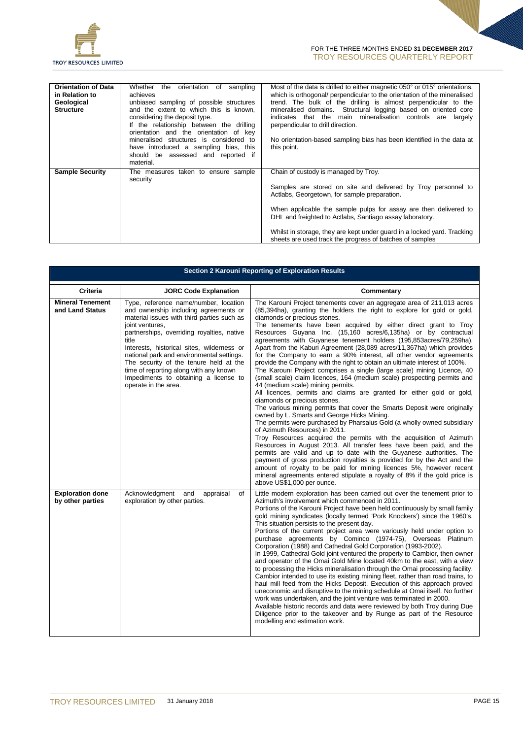

| <b>Orientation of Data</b><br>in Relation to<br>Geological<br><b>Structure</b> | Whether the orientation of<br>sampling<br>achieves<br>unbiased sampling of possible structures<br>and the extent to which this is known,<br>considering the deposit type.<br>If the relationship between the drilling<br>orientation and the orientation of key<br>mineralised structures is considered to<br>have introduced a sampling bias, this<br>should be assessed and reported if<br>material. | Most of the data is drilled to either magnetic 050° or 015° orientations,<br>which is orthogonal/ perpendicular to the orientation of the mineralised<br>trend. The bulk of the drilling is almost perpendicular to the<br>mineralised domains. Structural logging based on oriented core<br>indicates that the main mineralisation controls are<br>largely<br>perpendicular to drill direction.<br>No orientation-based sampling bias has been identified in the data at<br>this point. |
|--------------------------------------------------------------------------------|--------------------------------------------------------------------------------------------------------------------------------------------------------------------------------------------------------------------------------------------------------------------------------------------------------------------------------------------------------------------------------------------------------|------------------------------------------------------------------------------------------------------------------------------------------------------------------------------------------------------------------------------------------------------------------------------------------------------------------------------------------------------------------------------------------------------------------------------------------------------------------------------------------|
| <b>Sample Security</b>                                                         | The measures taken to ensure sample<br>security                                                                                                                                                                                                                                                                                                                                                        | Chain of custody is managed by Troy.<br>Samples are stored on site and delivered by Troy personnel to<br>Actlabs, Georgetown, for sample preparation.<br>When applicable the sample pulps for assay are then delivered to<br>DHL and freighted to Actlabs, Santiago assay laboratory.<br>Whilst in storage, they are kept under guard in a locked yard. Tracking<br>sheets are used track the progress of batches of samples                                                             |

|                                             |                                                                                                                                                                                                                                                                                                                                                                                                                                                        | Section 2 Karouni Reporting of Exploration Results                                                                                                                                                                                                                                                                                                                                                                                                                                                                                                                                                                                                                                                                                                                                                                                                                                                                                                                                                                                                                                                                                                                                                                                                                                                                                                                                                                                                                                                                                                                                                                                                            |
|---------------------------------------------|--------------------------------------------------------------------------------------------------------------------------------------------------------------------------------------------------------------------------------------------------------------------------------------------------------------------------------------------------------------------------------------------------------------------------------------------------------|---------------------------------------------------------------------------------------------------------------------------------------------------------------------------------------------------------------------------------------------------------------------------------------------------------------------------------------------------------------------------------------------------------------------------------------------------------------------------------------------------------------------------------------------------------------------------------------------------------------------------------------------------------------------------------------------------------------------------------------------------------------------------------------------------------------------------------------------------------------------------------------------------------------------------------------------------------------------------------------------------------------------------------------------------------------------------------------------------------------------------------------------------------------------------------------------------------------------------------------------------------------------------------------------------------------------------------------------------------------------------------------------------------------------------------------------------------------------------------------------------------------------------------------------------------------------------------------------------------------------------------------------------------------|
| Criteria                                    | <b>JORC Code Explanation</b>                                                                                                                                                                                                                                                                                                                                                                                                                           | Commentary                                                                                                                                                                                                                                                                                                                                                                                                                                                                                                                                                                                                                                                                                                                                                                                                                                                                                                                                                                                                                                                                                                                                                                                                                                                                                                                                                                                                                                                                                                                                                                                                                                                    |
| <b>Mineral Tenement</b><br>and Land Status  | Type, reference name/number, location<br>and ownership including agreements or<br>material issues with third parties such as<br>joint ventures,<br>partnerships, overriding royalties, native<br>title<br>Interests, historical sites, wilderness or<br>national park and environmental settings.<br>The security of the tenure held at the<br>time of reporting along with any known<br>Impediments to obtaining a license to<br>operate in the area. | The Karouni Project tenements cover an aggregate area of 211,013 acres<br>(85,394ha), granting the holders the right to explore for gold or gold,<br>diamonds or precious stones.<br>The tenements have been acquired by either direct grant to Troy<br>Resources Guyana Inc. (15,160 acres/6,135ha) or by contractual<br>agreements with Guyanese tenement holders (195,853 acres/79,259 ha).<br>Apart from the Kaburi Agreement (28,089 acres/11,367ha) which provides<br>for the Company to earn a 90% interest, all other vendor agreements<br>provide the Company with the right to obtain an ultimate interest of 100%.<br>The Karouni Project comprises a single (large scale) mining Licence, 40<br>(small scale) claim licences, 164 (medium scale) prospecting permits and<br>44 (medium scale) mining permits.<br>All licences, permits and claims are granted for either gold or gold,<br>diamonds or precious stones.<br>The various mining permits that cover the Smarts Deposit were originally<br>owned by L. Smarts and George Hicks Mining.<br>The permits were purchased by Pharsalus Gold (a wholly owned subsidiary<br>of Azimuth Resources) in 2011.<br>Troy Resources acquired the permits with the acquisition of Azimuth<br>Resources in August 2013. All transfer fees have been paid, and the<br>permits are valid and up to date with the Guyanese authorities. The<br>payment of gross production royalties is provided for by the Act and the<br>amount of royalty to be paid for mining licences 5%, however recent<br>mineral agreements entered stipulate a royalty of 8% if the gold price is<br>above US\$1,000 per ounce. |
| <b>Exploration done</b><br>by other parties | Acknowledgment<br>and<br>appraisal<br>of<br>exploration by other parties.                                                                                                                                                                                                                                                                                                                                                                              | Little modern exploration has been carried out over the tenement prior to<br>Azimuth's involvement which commenced in 2011.<br>Portions of the Karouni Project have been held continuously by small family<br>gold mining syndicates (locally termed 'Pork Knockers') since the 1960's.<br>This situation persists to the present day.<br>Portions of the current project area were variously held under option to<br>purchase agreements by Cominco (1974-75), Overseas Platinum<br>Corporation (1988) and Cathedral Gold Corporation (1993-2002).<br>In 1999, Cathedral Gold joint ventured the property to Cambior, then owner<br>and operator of the Omai Gold Mine located 40km to the east, with a view<br>to processing the Hicks mineralisation through the Omai processing facility.<br>Cambior intended to use its existing mining fleet, rather than road trains, to<br>haul mill feed from the Hicks Deposit. Execution of this approach proved<br>uneconomic and disruptive to the mining schedule at Omai itself. No further<br>work was undertaken, and the joint venture was terminated in 2000.<br>Available historic records and data were reviewed by both Troy during Due<br>Diligence prior to the takeover and by Runge as part of the Resource<br>modelling and estimation work.                                                                                                                                                                                                                                                                                                                                                       |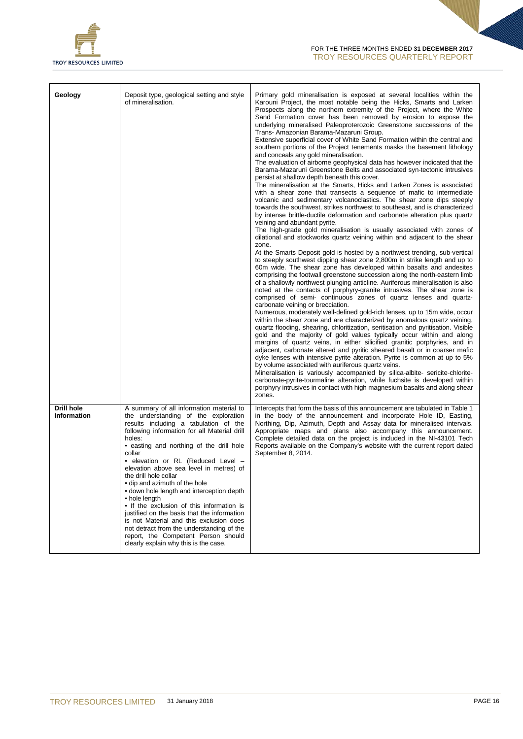

| Geology                                 | Deposit type, geological setting and style<br>of mineralisation.                                                                                                                                                                                                                                                                                                                                                                                                                                                                                                                                                                                                                                                       | Primary gold mineralisation is exposed at several localities within the<br>Karouni Project, the most notable being the Hicks, Smarts and Larken<br>Prospects along the northern extremity of the Project, where the White<br>Sand Formation cover has been removed by erosion to expose the<br>underlying mineralised Paleoproterozoic Greenstone successions of the<br>Trans- Amazonian Barama-Mazaruni Group.<br>Extensive superficial cover of White Sand Formation within the central and<br>southern portions of the Project tenements masks the basement lithology<br>and conceals any gold mineralisation.<br>The evaluation of airborne geophysical data has however indicated that the<br>Barama-Mazaruni Greenstone Belts and associated syn-tectonic intrusives<br>persist at shallow depth beneath this cover.<br>The mineralisation at the Smarts, Hicks and Larken Zones is associated<br>with a shear zone that transects a sequence of mafic to intermediate<br>volcanic and sedimentary volcanoclastics. The shear zone dips steeply<br>towards the southwest, strikes northwest to southeast, and is characterized<br>by intense brittle-ductile deformation and carbonate alteration plus quartz<br>veining and abundant pyrite.<br>The high-grade gold mineralisation is usually associated with zones of<br>dilational and stockworks quartz veining within and adjacent to the shear<br>zone.<br>At the Smarts Deposit gold is hosted by a northwest trending, sub-vertical<br>to steeply southwest dipping shear zone 2,800m in strike length and up to<br>60m wide. The shear zone has developed within basalts and andesites<br>comprising the footwall greenstone succession along the north-eastern limb<br>of a shallowly northwest plunging anticline. Auriferous mineralisation is also<br>noted at the contacts of porphyry-granite intrusives. The shear zone is<br>comprised of semi- continuous zones of quartz lenses and quartz-<br>carbonate veining or brecciation.<br>Numerous, moderately well-defined gold-rich lenses, up to 15m wide, occur<br>within the shear zone and are characterized by anomalous quartz veining,<br>quartz flooding, shearing, chloritization, seritisation and pyritisation. Visible<br>gold and the majority of gold values typically occur within and along<br>margins of quartz veins, in either silicified granitic porphyries, and in<br>adjacent, carbonate altered and pyritic sheared basalt or in coarser mafic<br>dyke lenses with intensive pyrite alteration. Pyrite is common at up to 5%<br>by volume associated with auriferous quartz veins.<br>Mineralisation is variously accompanied by silica-albite- sericite-chlorite-<br>carbonate-pyrite-tourmaline alteration, while fuchsite is developed within<br>porphyry intrusives in contact with high magnesium basalts and along shear<br>zones. |
|-----------------------------------------|------------------------------------------------------------------------------------------------------------------------------------------------------------------------------------------------------------------------------------------------------------------------------------------------------------------------------------------------------------------------------------------------------------------------------------------------------------------------------------------------------------------------------------------------------------------------------------------------------------------------------------------------------------------------------------------------------------------------|---------------------------------------------------------------------------------------------------------------------------------------------------------------------------------------------------------------------------------------------------------------------------------------------------------------------------------------------------------------------------------------------------------------------------------------------------------------------------------------------------------------------------------------------------------------------------------------------------------------------------------------------------------------------------------------------------------------------------------------------------------------------------------------------------------------------------------------------------------------------------------------------------------------------------------------------------------------------------------------------------------------------------------------------------------------------------------------------------------------------------------------------------------------------------------------------------------------------------------------------------------------------------------------------------------------------------------------------------------------------------------------------------------------------------------------------------------------------------------------------------------------------------------------------------------------------------------------------------------------------------------------------------------------------------------------------------------------------------------------------------------------------------------------------------------------------------------------------------------------------------------------------------------------------------------------------------------------------------------------------------------------------------------------------------------------------------------------------------------------------------------------------------------------------------------------------------------------------------------------------------------------------------------------------------------------------------------------------------------------------------------------------------------------------------------------------------------------------------------------------------------------------------------------------------------------------------------------------------------------------------------------------------------------------------------------------------------------------------------------------------------------------------------------------------------------------------------------------------------------------------------------|
| <b>Drill hole</b><br><b>Information</b> | A summary of all information material to<br>the understanding of the exploration<br>results including a tabulation of the<br>following information for all Material drill<br>holes:<br>• easting and northing of the drill hole<br>collar<br>• elevation or RL (Reduced Level -<br>elevation above sea level in metres) of<br>the drill hole collar<br>· dip and azimuth of the hole<br>· down hole length and interception depth<br>• hole length<br>• If the exclusion of this information is<br>justified on the basis that the information<br>is not Material and this exclusion does<br>not detract from the understanding of the<br>report, the Competent Person should<br>clearly explain why this is the case. | Intercepts that form the basis of this announcement are tabulated in Table 1<br>in the body of the announcement and incorporate Hole ID, Easting,<br>Northing, Dip, Azimuth, Depth and Assay data for mineralised intervals.<br>Appropriate maps and plans also accompany this announcement.<br>Complete detailed data on the project is included in the NI-43101 Tech<br>Reports available on the Company's website with the current report dated<br>September 8, 2014.                                                                                                                                                                                                                                                                                                                                                                                                                                                                                                                                                                                                                                                                                                                                                                                                                                                                                                                                                                                                                                                                                                                                                                                                                                                                                                                                                                                                                                                                                                                                                                                                                                                                                                                                                                                                                                                                                                                                                                                                                                                                                                                                                                                                                                                                                                                                                                                                              |